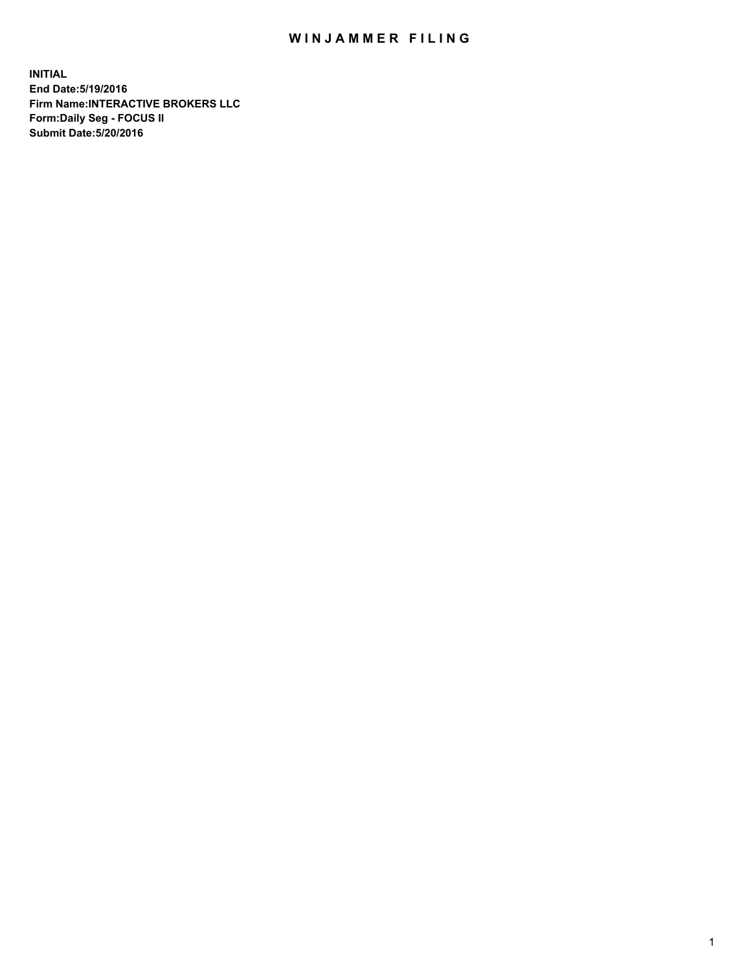## WIN JAMMER FILING

**INITIAL End Date:5/19/2016 Firm Name:INTERACTIVE BROKERS LLC Form:Daily Seg - FOCUS II Submit Date:5/20/2016**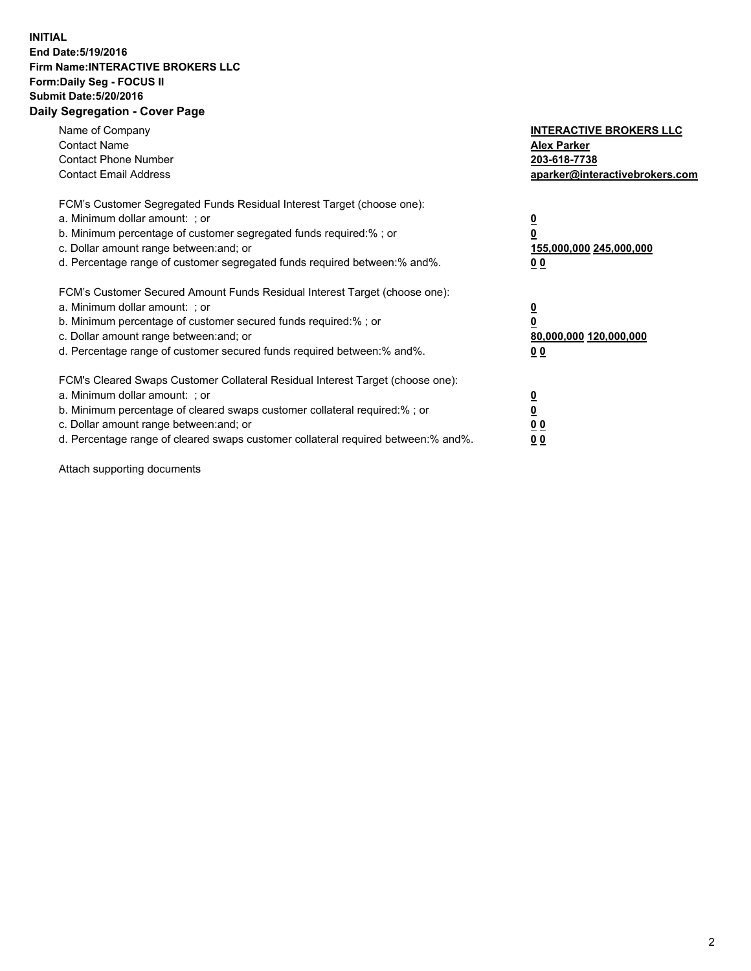## **INITIAL End Date:5/19/2016 Firm Name:INTERACTIVE BROKERS LLC Form:Daily Seg - FOCUS II Submit Date:5/20/2016 Daily Segregation - Cover Page**

| Name of Company<br><b>Contact Name</b><br><b>Contact Phone Number</b><br><b>Contact Email Address</b>                                                                                                                                                                                                                          | <b>INTERACTIVE BROKERS LLC</b><br><b>Alex Parker</b><br>203-618-7738<br>aparker@interactivebrokers.com |
|--------------------------------------------------------------------------------------------------------------------------------------------------------------------------------------------------------------------------------------------------------------------------------------------------------------------------------|--------------------------------------------------------------------------------------------------------|
| FCM's Customer Segregated Funds Residual Interest Target (choose one):<br>a. Minimum dollar amount: ; or<br>b. Minimum percentage of customer segregated funds required:%; or<br>c. Dollar amount range between: and; or<br>d. Percentage range of customer segregated funds required between:% and%.                          | <u>0</u><br>155,000,000 245,000,000<br><u>0 0</u>                                                      |
| FCM's Customer Secured Amount Funds Residual Interest Target (choose one):<br>a. Minimum dollar amount: ; or<br>b. Minimum percentage of customer secured funds required:% ; or<br>c. Dollar amount range between: and; or<br>d. Percentage range of customer secured funds required between:% and%.                           | <u>0</u><br>80,000,000 120,000,000<br><u>00</u>                                                        |
| FCM's Cleared Swaps Customer Collateral Residual Interest Target (choose one):<br>a. Minimum dollar amount: ; or<br>b. Minimum percentage of cleared swaps customer collateral required:% ; or<br>c. Dollar amount range between: and; or<br>d. Percentage range of cleared swaps customer collateral required between:% and%. | <u>0</u><br>0 <sub>0</sub><br>0 <sub>0</sub>                                                           |

Attach supporting documents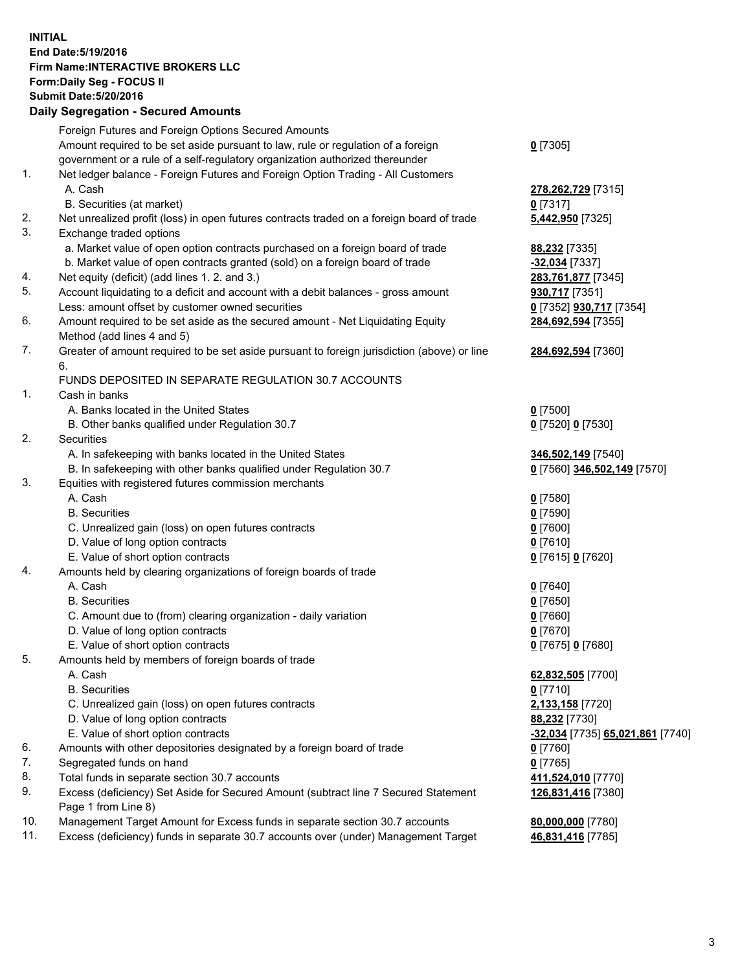## **INITIAL End Date:5/19/2016 Firm Name:INTERACTIVE BROKERS LLC Form:Daily Seg - FOCUS II Submit Date:5/20/2016 Daily Segregation - Secured Amounts**

|     | Daily Ocglegation - Occuled Amounts                                                                        |                                  |
|-----|------------------------------------------------------------------------------------------------------------|----------------------------------|
|     | Foreign Futures and Foreign Options Secured Amounts                                                        |                                  |
|     | Amount required to be set aside pursuant to law, rule or regulation of a foreign                           | $0$ [7305]                       |
|     | government or a rule of a self-regulatory organization authorized thereunder                               |                                  |
| 1.  | Net ledger balance - Foreign Futures and Foreign Option Trading - All Customers                            |                                  |
|     | A. Cash                                                                                                    | 278, 262, 729 [7315]             |
|     | B. Securities (at market)                                                                                  | $0$ [7317]                       |
| 2.  | Net unrealized profit (loss) in open futures contracts traded on a foreign board of trade                  | 5,442,950 [7325]                 |
| 3.  | Exchange traded options                                                                                    |                                  |
|     | a. Market value of open option contracts purchased on a foreign board of trade                             | 88,232 [7335]                    |
|     | b. Market value of open contracts granted (sold) on a foreign board of trade                               | -32,034 [7337]                   |
| 4.  | Net equity (deficit) (add lines 1. 2. and 3.)                                                              | 283,761,877 [7345]               |
| 5.  | Account liquidating to a deficit and account with a debit balances - gross amount                          | 930,717 [7351]                   |
|     | Less: amount offset by customer owned securities                                                           | 0 [7352] <b>930,717</b> [7354]   |
| 6.  | Amount required to be set aside as the secured amount - Net Liquidating Equity                             | 284,692,594 [7355]               |
|     | Method (add lines 4 and 5)                                                                                 |                                  |
| 7.  | Greater of amount required to be set aside pursuant to foreign jurisdiction (above) or line                | 284,692,594 [7360]               |
|     | 6.                                                                                                         |                                  |
|     | FUNDS DEPOSITED IN SEPARATE REGULATION 30.7 ACCOUNTS                                                       |                                  |
| 1.  | Cash in banks                                                                                              |                                  |
|     | A. Banks located in the United States                                                                      | $0$ [7500]                       |
|     | B. Other banks qualified under Regulation 30.7                                                             | 0 [7520] 0 [7530]                |
| 2.  | Securities                                                                                                 |                                  |
|     | A. In safekeeping with banks located in the United States                                                  | 346,502,149 [7540]               |
|     | B. In safekeeping with other banks qualified under Regulation 30.7                                         | 0 [7560] 346,502,149 [7570]      |
| 3.  | Equities with registered futures commission merchants                                                      |                                  |
|     | A. Cash                                                                                                    | $0$ [7580]                       |
|     | <b>B.</b> Securities                                                                                       | $0$ [7590]                       |
|     | C. Unrealized gain (loss) on open futures contracts                                                        | $0$ [7600]                       |
|     | D. Value of long option contracts                                                                          | $0$ [7610]                       |
|     | E. Value of short option contracts                                                                         | 0 [7615] 0 [7620]                |
| 4.  | Amounts held by clearing organizations of foreign boards of trade                                          |                                  |
|     | A. Cash                                                                                                    | $0$ [7640]                       |
|     | <b>B.</b> Securities                                                                                       | $0$ [7650]                       |
|     | C. Amount due to (from) clearing organization - daily variation                                            | $0$ [7660]                       |
|     | D. Value of long option contracts                                                                          | $0$ [7670]                       |
|     | E. Value of short option contracts                                                                         | 0 [7675] 0 [7680]                |
| 5.  | Amounts held by members of foreign boards of trade                                                         |                                  |
|     | A. Cash                                                                                                    | 62,832,505 [7700]                |
|     | <b>B.</b> Securities                                                                                       | $0$ [7710]                       |
|     | C. Unrealized gain (loss) on open futures contracts                                                        | 2,133,158 [7720]                 |
|     | D. Value of long option contracts                                                                          | 88,232 [7730]                    |
|     | E. Value of short option contracts                                                                         | -32,034 [7735] 65,021,861 [7740] |
| 6.  | Amounts with other depositories designated by a foreign board of trade                                     | 0 [7760]                         |
| 7.  | Segregated funds on hand                                                                                   | $0$ [7765]                       |
| 8.  | Total funds in separate section 30.7 accounts                                                              | 411,524,010 [7770]               |
| 9.  | Excess (deficiency) Set Aside for Secured Amount (subtract line 7 Secured Statement<br>Page 1 from Line 8) | 126,831,416 [7380]               |
| 10. | Management Target Amount for Excess funds in separate section 30.7 accounts                                | 80,000,000 [7780]                |
| 11. | Excess (deficiency) funds in separate 30.7 accounts over (under) Management Target                         | 46,831,416 [7785]                |
|     |                                                                                                            |                                  |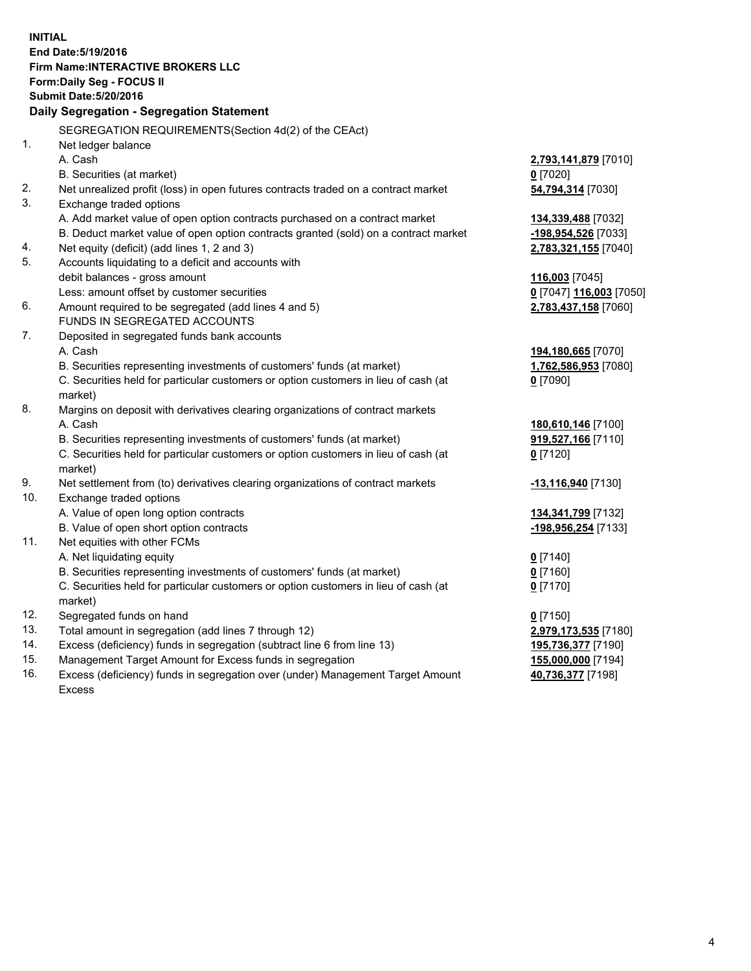**INITIAL End Date:5/19/2016 Firm Name:INTERACTIVE BROKERS LLC Form:Daily Seg - FOCUS II Submit Date:5/20/2016 Daily Segregation - Segregation Statement** SEGREGATION REQUIREMENTS(Section 4d(2) of the CEAct) 1. Net ledger balance A. Cash **2,793,141,879** [7010] B. Securities (at market) **0** [7020] 2. Net unrealized profit (loss) in open futures contracts traded on a contract market **54,794,314** [7030] 3. Exchange traded options A. Add market value of open option contracts purchased on a contract market **134,339,488** [7032] B. Deduct market value of open option contracts granted (sold) on a contract market **-198,954,526** [7033] 4. Net equity (deficit) (add lines 1, 2 and 3) **2,783,321,155** [7040] 5. Accounts liquidating to a deficit and accounts with debit balances - gross amount **116,003** [7045] Less: amount offset by customer securities **0** [7047] **116,003** [7050] 6. Amount required to be segregated (add lines 4 and 5) **2,783,437,158** [7060] FUNDS IN SEGREGATED ACCOUNTS 7. Deposited in segregated funds bank accounts A. Cash **194,180,665** [7070] B. Securities representing investments of customers' funds (at market) **1,762,586,953** [7080] C. Securities held for particular customers or option customers in lieu of cash (at market) **0** [7090] 8. Margins on deposit with derivatives clearing organizations of contract markets A. Cash **180,610,146** [7100] B. Securities representing investments of customers' funds (at market) **919,527,166** [7110] C. Securities held for particular customers or option customers in lieu of cash (at market) **0** [7120] 9. Net settlement from (to) derivatives clearing organizations of contract markets **-13,116,940** [7130] 10. Exchange traded options A. Value of open long option contracts **134,341,799** [7132] B. Value of open short option contracts **-198,956,254** [7133] 11. Net equities with other FCMs A. Net liquidating equity **0** [7140] B. Securities representing investments of customers' funds (at market) **0** [7160] C. Securities held for particular customers or option customers in lieu of cash (at market) **0** [7170] 12. Segregated funds on hand **0** [7150] 13. Total amount in segregation (add lines 7 through 12) **2,979,173,535** [7180] 14. Excess (deficiency) funds in segregation (subtract line 6 from line 13) **195,736,377** [7190] 15. Management Target Amount for Excess funds in segregation **155,000,000** [7194] 16. Excess (deficiency) funds in segregation over (under) Management Target Amount Excess **40,736,377** [7198]